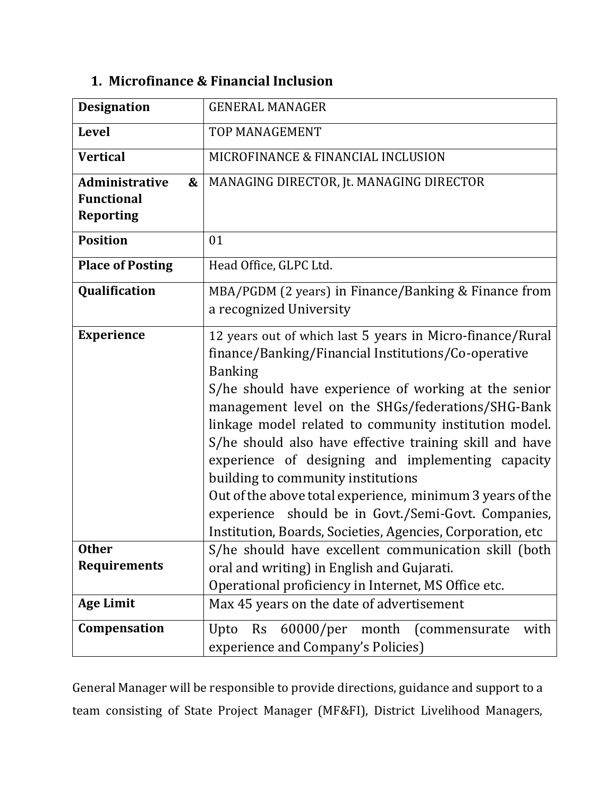| <b>Designation</b>                                                  | <b>GENERAL MANAGER</b>                                                                                                                                                                                                                                                                                                                                                                                                                                                                                                                                                                                                                           |
|---------------------------------------------------------------------|--------------------------------------------------------------------------------------------------------------------------------------------------------------------------------------------------------------------------------------------------------------------------------------------------------------------------------------------------------------------------------------------------------------------------------------------------------------------------------------------------------------------------------------------------------------------------------------------------------------------------------------------------|
| <b>Level</b>                                                        | <b>TOP MANAGEMENT</b>                                                                                                                                                                                                                                                                                                                                                                                                                                                                                                                                                                                                                            |
| <b>Vertical</b>                                                     | MICROFINANCE & FINANCIAL INCLUSION                                                                                                                                                                                                                                                                                                                                                                                                                                                                                                                                                                                                               |
| <b>Administrative</b><br>&<br><b>Functional</b><br><b>Reporting</b> | MANAGING DIRECTOR, Jt. MANAGING DIRECTOR                                                                                                                                                                                                                                                                                                                                                                                                                                                                                                                                                                                                         |
| <b>Position</b>                                                     | 01                                                                                                                                                                                                                                                                                                                                                                                                                                                                                                                                                                                                                                               |
| <b>Place of Posting</b>                                             | Head Office, GLPC Ltd.                                                                                                                                                                                                                                                                                                                                                                                                                                                                                                                                                                                                                           |
| Qualification                                                       | MBA/PGDM (2 years) in Finance/Banking & Finance from<br>a recognized University                                                                                                                                                                                                                                                                                                                                                                                                                                                                                                                                                                  |
| <b>Experience</b>                                                   | 12 years out of which last 5 years in Micro-finance/Rural<br>finance/Banking/Financial Institutions/Co-operative<br><b>Banking</b><br>S/he should have experience of working at the senior<br>management level on the SHGs/federations/SHG-Bank<br>linkage model related to community institution model.<br>S/he should also have effective training skill and have<br>experience of designing and implementing capacity<br>building to community institutions<br>Out of the above total experience, minimum 3 years of the<br>experience should be in Govt./Semi-Govt. Companies,<br>Institution, Boards, Societies, Agencies, Corporation, etc |
| <b>Other</b>                                                        | S/he should have excellent communication skill (both                                                                                                                                                                                                                                                                                                                                                                                                                                                                                                                                                                                             |
| <b>Requirements</b>                                                 | oral and writing) in English and Gujarati.<br>Operational proficiency in Internet, MS Office etc.                                                                                                                                                                                                                                                                                                                                                                                                                                                                                                                                                |
| <b>Age Limit</b>                                                    | Max 45 years on the date of advertisement                                                                                                                                                                                                                                                                                                                                                                                                                                                                                                                                                                                                        |
| Compensation                                                        | Upto Rs 60000/per month (commensurate<br>with<br>experience and Company's Policies)                                                                                                                                                                                                                                                                                                                                                                                                                                                                                                                                                              |

## **1. Microfinance & Financial Inclusion**

General Manager will be responsible to provide directions, guidance and support to a team consisting of State Project Manager (MF&FI), District Livelihood Managers,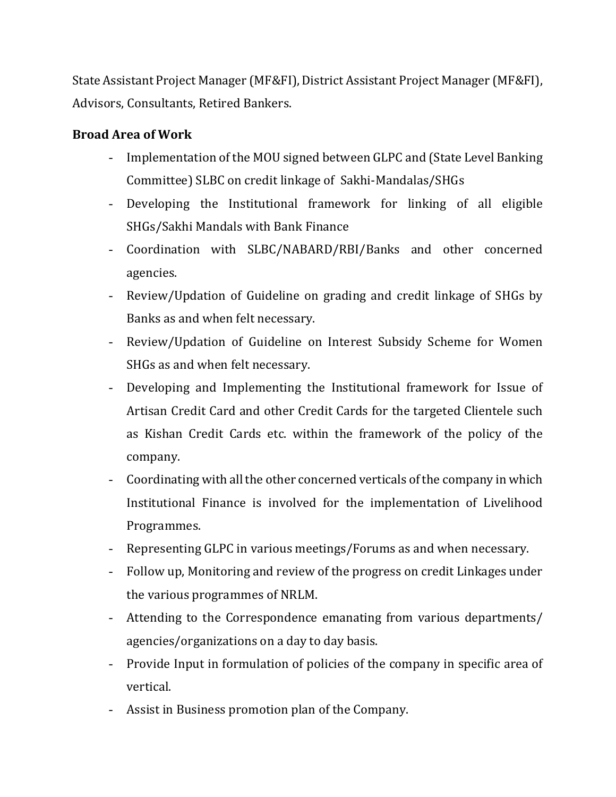State Assistant Project Manager (MF&FI), District Assistant Project Manager (MF&FI), Advisors, Consultants, Retired Bankers.

## **Broad Area of Work**

- Implementation of the MOU signed between GLPC and (State Level Banking Committee) SLBC on credit linkage of Sakhi-Mandalas/SHGs
- Developing the Institutional framework for linking of all eligible SHGs/Sakhi Mandals with Bank Finance
- Coordination with SLBC/NABARD/RBI/Banks and other concerned agencies.
- Review/Updation of Guideline on grading and credit linkage of SHGs by Banks as and when felt necessary.
- Review/Updation of Guideline on Interest Subsidy Scheme for Women SHGs as and when felt necessary.
- Developing and Implementing the Institutional framework for Issue of Artisan Credit Card and other Credit Cards for the targeted Clientele such as Kishan Credit Cards etc. within the framework of the policy of the company.
- Coordinating with all the other concerned verticals of the company in which Institutional Finance is involved for the implementation of Livelihood Programmes.
- Representing GLPC in various meetings/Forums as and when necessary.
- Follow up, Monitoring and review of the progress on credit Linkages under the various programmes of NRLM.
- Attending to the Correspondence emanating from various departments/ agencies/organizations on a day to day basis.
- Provide Input in formulation of policies of the company in specific area of vertical.
- Assist in Business promotion plan of the Company.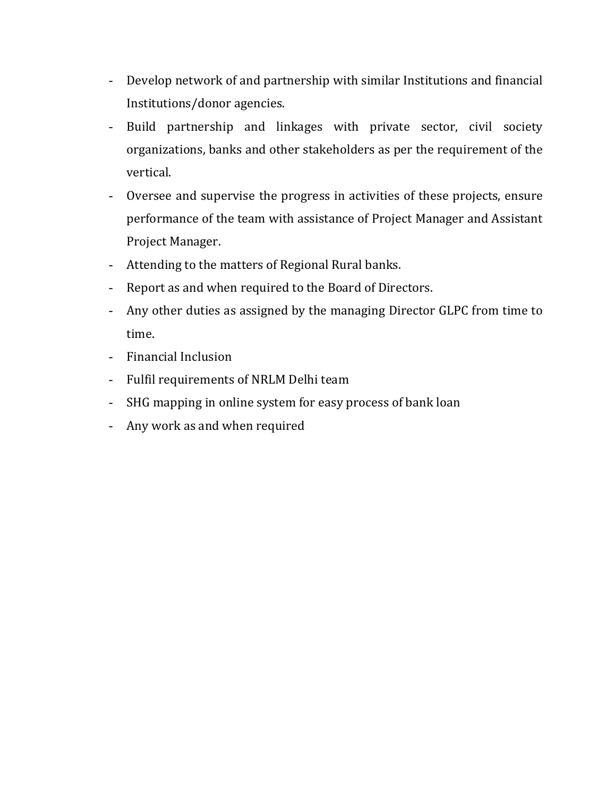- Develop network of and partnership with similar Institutions and financial Institutions/donor agencies.
- Build partnership and linkages with private sector, civil society organizations, banks and other stakeholders as per the requirement of the vertical.
- Oversee and supervise the progress in activities of these projects, ensure performance of the team with assistance of Project Manager and Assistant Project Manager.
- Attending to the matters of Regional Rural banks.
- Report as and when required to the Board of Directors.
- Any other duties as assigned by the managing Director GLPC from time to time.
- Financial Inclusion
- Fulfil requirements of NRLM Delhi team
- SHG mapping in online system for easy process of bank loan
- Any work as and when required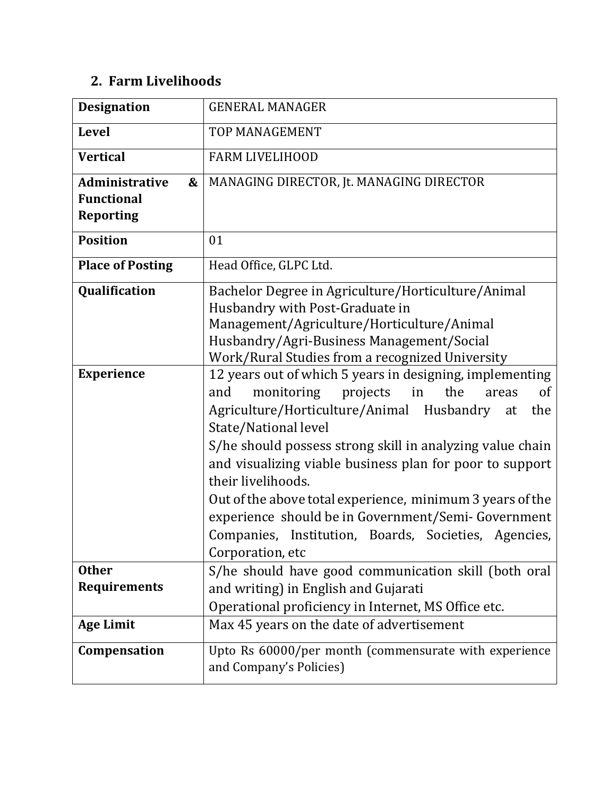## **2. Farm Livelihoods**

| <b>Designation</b>                                                  | <b>GENERAL MANAGER</b>                                                                                                                                                                                                                                                                                                                                                                                                                                                                                                                                        |
|---------------------------------------------------------------------|---------------------------------------------------------------------------------------------------------------------------------------------------------------------------------------------------------------------------------------------------------------------------------------------------------------------------------------------------------------------------------------------------------------------------------------------------------------------------------------------------------------------------------------------------------------|
| <b>Level</b>                                                        | <b>TOP MANAGEMENT</b>                                                                                                                                                                                                                                                                                                                                                                                                                                                                                                                                         |
| <b>Vertical</b>                                                     | <b>FARM LIVELIHOOD</b>                                                                                                                                                                                                                                                                                                                                                                                                                                                                                                                                        |
| <b>Administrative</b><br>&<br><b>Functional</b><br><b>Reporting</b> | MANAGING DIRECTOR, Jt. MANAGING DIRECTOR                                                                                                                                                                                                                                                                                                                                                                                                                                                                                                                      |
| <b>Position</b>                                                     | 01                                                                                                                                                                                                                                                                                                                                                                                                                                                                                                                                                            |
| <b>Place of Posting</b>                                             | Head Office, GLPC Ltd.                                                                                                                                                                                                                                                                                                                                                                                                                                                                                                                                        |
| Qualification                                                       | Bachelor Degree in Agriculture/Horticulture/Animal<br>Husbandry with Post-Graduate in<br>Management/Agriculture/Horticulture/Animal<br>Husbandry/Agri-Business Management/Social<br>Work/Rural Studies from a recognized University                                                                                                                                                                                                                                                                                                                           |
| <b>Experience</b>                                                   | 12 years out of which 5 years in designing, implementing<br>monitoring projects<br>in<br>the<br>and<br><sub>of</sub><br>areas<br>Agriculture/Horticulture/Animal Husbandry<br>the<br>at<br>State/National level<br>S/he should possess strong skill in analyzing value chain<br>and visualizing viable business plan for poor to support<br>their livelihoods.<br>Out of the above total experience, minimum 3 years of the<br>experience should be in Government/Semi-Government<br>Companies, Institution, Boards, Societies, Agencies,<br>Corporation, etc |
| <b>Other</b><br><b>Requirements</b>                                 | S/he should have good communication skill (both oral<br>and writing) in English and Gujarati<br>Operational proficiency in Internet, MS Office etc.                                                                                                                                                                                                                                                                                                                                                                                                           |
| <b>Age Limit</b>                                                    | Max 45 years on the date of advertisement                                                                                                                                                                                                                                                                                                                                                                                                                                                                                                                     |
| Compensation                                                        | Upto Rs 60000/per month (commensurate with experience<br>and Company's Policies)                                                                                                                                                                                                                                                                                                                                                                                                                                                                              |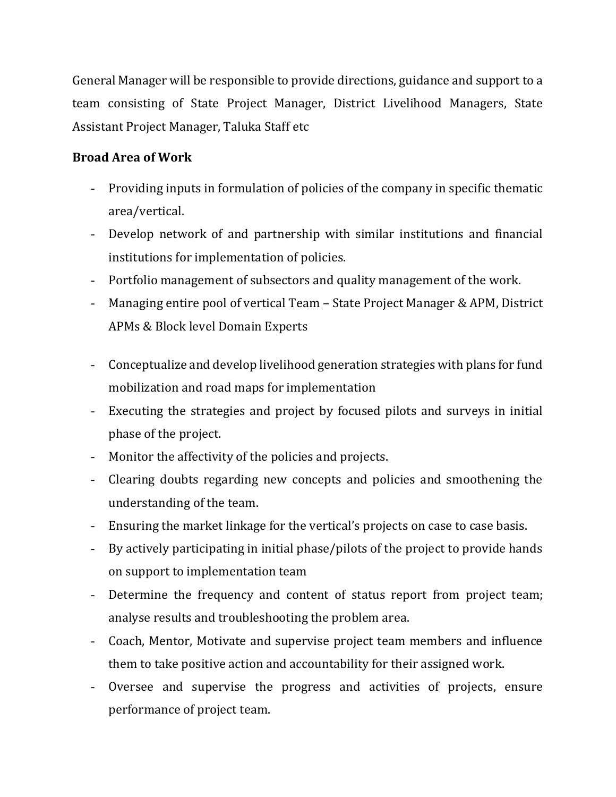General Manager will be responsible to provide directions, guidance and support to a team consisting of State Project Manager, District Livelihood Managers, State Assistant Project Manager, Taluka Staff etc

## **Broad Area of Work**

- Providing inputs in formulation of policies of the company in specific thematic area/vertical.
- Develop network of and partnership with similar institutions and financial institutions for implementation of policies.
- Portfolio management of subsectors and quality management of the work.
- Managing entire pool of vertical Team State Project Manager & APM, District APMs & Block level Domain Experts
- Conceptualize and develop livelihood generation strategies with plans for fund mobilization and road maps for implementation
- Executing the strategies and project by focused pilots and surveys in initial phase of the project.
- Monitor the affectivity of the policies and projects.
- Clearing doubts regarding new concepts and policies and smoothening the understanding of the team.
- Ensuring the market linkage for the vertical's projects on case to case basis.
- By actively participating in initial phase/pilots of the project to provide hands on support to implementation team
- Determine the frequency and content of status report from project team; analyse results and troubleshooting the problem area.
- Coach, Mentor, Motivate and supervise project team members and influence them to take positive action and accountability for their assigned work.
- Oversee and supervise the progress and activities of projects, ensure performance of project team.